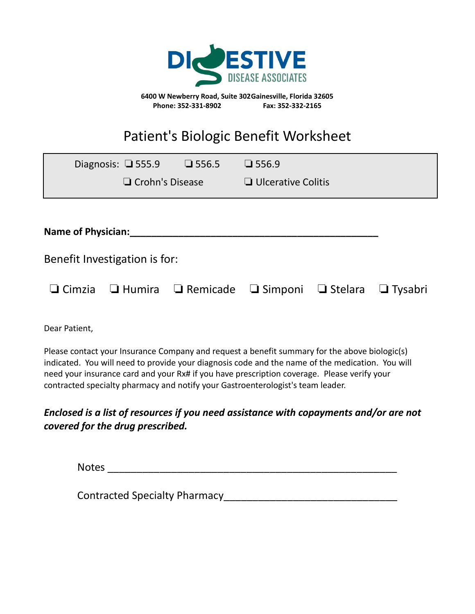

**6400 W Newberry Road, Suite 302Gainesville, Florida 32605 Phone: 352-331-8902 Fax: 352-332-2165**

## Patient's Biologic Benefit Worksheet

|                               | Diagnosis: $\Box$ 555.9 | $\Box$ 556.5                                                                             | $\Box$ 556.9              |  |  |  |
|-------------------------------|-------------------------|------------------------------------------------------------------------------------------|---------------------------|--|--|--|
|                               | $\Box$ Crohn's Disease  |                                                                                          | $\Box$ Ulcerative Colitis |  |  |  |
|                               |                         |                                                                                          |                           |  |  |  |
| <b>Name of Physician:</b>     |                         |                                                                                          |                           |  |  |  |
| Benefit Investigation is for: |                         |                                                                                          |                           |  |  |  |
|                               |                         | $\Box$ Cimzia $\Box$ Humira $\Box$ Remicade $\Box$ Simponi $\Box$ Stelara $\Box$ Tysabri |                           |  |  |  |

Dear Patient,

Please contact your Insurance Company and request a benefit summary for the above biologic(s) indicated. You will need to provide your diagnosis code and the name of the medication. You will need your insurance card and your Rx# if you have prescription coverage. Please verify your contracted specialty pharmacy and notify your Gastroenterologist's team leader.

## *Enclosed is a list of resources if you need assistance with copayments and/or are not covered for the drug prescribed.*

Notes \_\_\_\_\_\_\_\_\_\_\_\_\_\_\_\_\_\_\_\_\_\_\_\_\_\_\_\_\_\_\_\_\_\_\_\_\_\_\_\_\_\_\_\_\_\_\_\_\_\_

Contracted Specialty Pharmacy and the contracted Specialty Pharmacy